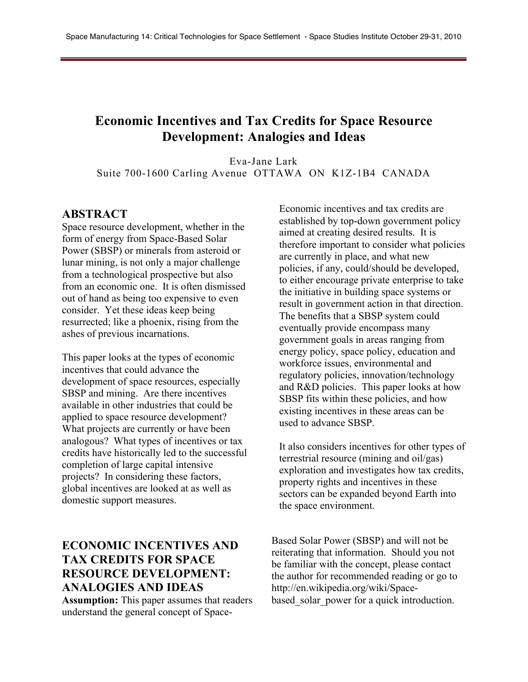## **Economic Incentives and Tax Credits for Space Resource Development: Analogies and Ideas**

Eva-Jane Lark Suite 700-1600 Carling Avenue OTTAWA ON K1Z-1B4 CANADA

#### **ABSTRACT**

Space resource development, whether in the form of energy from Space-Based Solar Power (SBSP) or minerals from asteroid or lunar mining, is not only a major challenge from a technological prospective but also from an economic one. It is often dismissed out of hand as being too expensive to even consider. Yet these ideas keep being resurrected; like a phoenix, rising from the ashes of previous incarnations.

This paper looks at the types of economic incentives that could advance the development of space resources, especially SBSP and mining. Are there incentives available in other industries that could be applied to space resource development? What projects are currently or have been analogous? What types of incentives or tax credits have historically led to the successful completion of large capital intensive projects? In considering these factors, global incentives are looked at as well as domestic support measures.

## **ECONOMIC INCENTIVES AND TAX CREDITS FOR SPACE RESOURCE DEVELOPMENT: ANALOGIES AND IDEAS**

**Assumption:** This paper assumes that readers understand the general concept of Space-

Economic incentives and tax credits are established by top-down government policy aimed at creating desired results. It is therefore important to consider what policies are currently in place, and what new policies, if any, could/should be developed, to either encourage private enterprise to take the initiative in building space systems or result in government action in that direction. The benefits that a SBSP system could eventually provide encompass many government goals in areas ranging from energy policy, space policy, education and workforce issues, environmental and regulatory policies, innovation/technology and R&D policies. This paper looks at how SBSP fits within these policies, and how existing incentives in these areas can be used to advance SBSP.

It also considers incentives for other types of terrestrial resource (mining and oil/gas) exploration and investigates how tax credits, property rights and incentives in these sectors can be expanded beyond Earth into the space environment.

Based Solar Power (SBSP) and will not be reiterating that information. Should you not be familiar with the concept, please contact the author for recommended reading or go to http://en.wikipedia.org/wiki/Spacebased solar power for a quick introduction.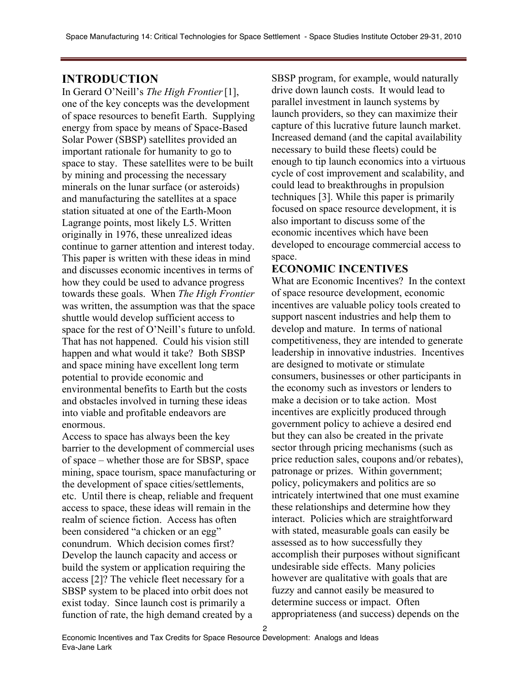### **INTRODUCTION**

In Gerard O'Neill's *The High Frontier*[1], one of the key concepts was the development of space resources to benefit Earth. Supplying energy from space by means of Space-Based Solar Power (SBSP) satellites provided an important rationale for humanity to go to space to stay. These satellites were to be built by mining and processing the necessary minerals on the lunar surface (or asteroids) and manufacturing the satellites at a space station situated at one of the Earth-Moon Lagrange points, most likely L5. Written originally in 1976, these unrealized ideas continue to garner attention and interest today. This paper is written with these ideas in mind and discusses economic incentives in terms of how they could be used to advance progress towards these goals. When *The High Frontier* was written, the assumption was that the space shuttle would develop sufficient access to space for the rest of O'Neill's future to unfold. That has not happened. Could his vision still happen and what would it take? Both SBSP and space mining have excellent long term potential to provide economic and environmental benefits to Earth but the costs and obstacles involved in turning these ideas into viable and profitable endeavors are enormous.

Access to space has always been the key barrier to the development of commercial uses of space – whether those are for SBSP, space mining, space tourism, space manufacturing or the development of space cities/settlements, etc. Until there is cheap, reliable and frequent access to space, these ideas will remain in the realm of science fiction. Access has often been considered "a chicken or an egg" conundrum. Which decision comes first? Develop the launch capacity and access or build the system or application requiring the access [2]? The vehicle fleet necessary for a SBSP system to be placed into orbit does not exist today. Since launch cost is primarily a function of rate, the high demand created by a

SBSP program, for example, would naturally drive down launch costs. It would lead to parallel investment in launch systems by launch providers, so they can maximize their capture of this lucrative future launch market. Increased demand (and the capital availability necessary to build these fleets) could be enough to tip launch economics into a virtuous cycle of cost improvement and scalability, and could lead to breakthroughs in propulsion techniques [3]. While this paper is primarily focused on space resource development, it is also important to discuss some of the economic incentives which have been developed to encourage commercial access to space.

### **ECONOMIC INCENTIVES**

What are Economic Incentives? In the context of space resource development, economic incentives are valuable policy tools created to support nascent industries and help them to develop and mature. In terms of national competitiveness, they are intended to generate leadership in innovative industries. Incentives are designed to motivate or stimulate consumers, businesses or other participants in the economy such as investors or lenders to make a decision or to take action. Most incentives are explicitly produced through government policy to achieve a desired end but they can also be created in the private sector through pricing mechanisms (such as price reduction sales, coupons and/or rebates), patronage or prizes. Within government; policy, policymakers and politics are so intricately intertwined that one must examine these relationships and determine how they interact. Policies which are straightforward with stated, measurable goals can easily be assessed as to how successfully they accomplish their purposes without significant undesirable side effects. Many policies however are qualitative with goals that are fuzzy and cannot easily be measured to determine success or impact. Often appropriateness (and success) depends on the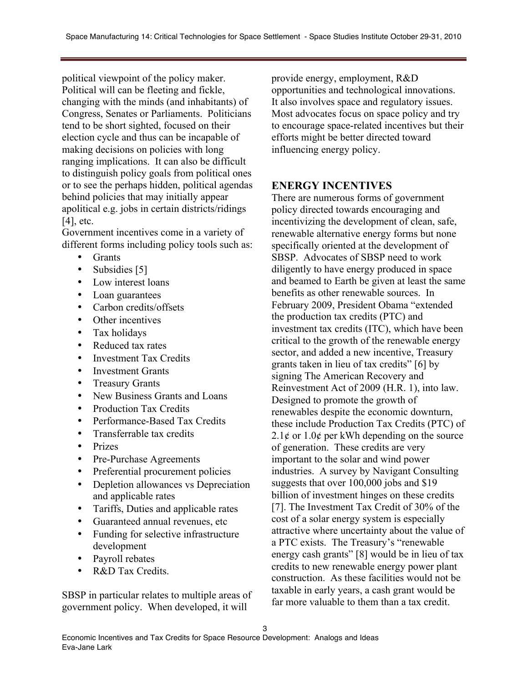political viewpoint of the policy maker. Political will can be fleeting and fickle, changing with the minds (and inhabitants) of Congress, Senates or Parliaments. Politicians tend to be short sighted, focused on their election cycle and thus can be incapable of making decisions on policies with long ranging implications. It can also be difficult to distinguish policy goals from political ones or to see the perhaps hidden, political agendas behind policies that may initially appear apolitical e.g. jobs in certain districts/ridings [4], etc.

Government incentives come in a variety of different forms including policy tools such as:

- **Grants**
- Subsidies [5]
- Low interest loans
- Loan guarantees
- Carbon credits/offsets
- Other incentives
- Tax holidays
- Reduced tax rates
- Investment Tax Credits
- Investment Grants
- Treasury Grants
- New Business Grants and Loans
- Production Tax Credits
- Performance-Based Tax Credits
- Transferrable tax credits
- Prizes
- Pre-Purchase Agreements
- Preferential procurement policies
- Depletion allowances vs Depreciation and applicable rates
- Tariffs, Duties and applicable rates
- Guaranteed annual revenues, etc
- Funding for selective infrastructure development
- Payroll rebates
- R&D Tax Credits.

SBSP in particular relates to multiple areas of government policy. When developed, it will

provide energy, employment, R&D opportunities and technological innovations. It also involves space and regulatory issues. Most advocates focus on space policy and try to encourage space-related incentives but their efforts might be better directed toward influencing energy policy.

### **ENERGY INCENTIVES**

There are numerous forms of government policy directed towards encouraging and incentivizing the development of clean, safe, renewable alternative energy forms but none specifically oriented at the development of SBSP. Advocates of SBSP need to work diligently to have energy produced in space and beamed to Earth be given at least the same benefits as other renewable sources. In February 2009, President Obama "extended the production tax credits (PTC) and investment tax credits (ITC), which have been critical to the growth of the renewable energy sector, and added a new incentive, Treasury grants taken in lieu of tax credits" [6] by signing The American Recovery and Reinvestment Act of 2009 (H.R. 1), into law. Designed to promote the growth of renewables despite the economic downturn, these include Production Tax Credits (PTC) of  $2.1\phi$  or  $1.0\phi$  per kWh depending on the source of generation. These credits are very important to the solar and wind power industries. A survey by Navigant Consulting suggests that over 100,000 jobs and \$19 billion of investment hinges on these credits [7]. The Investment Tax Credit of 30% of the cost of a solar energy system is especially attractive where uncertainty about the value of a PTC exists. The Treasury's "renewable energy cash grants" [8] would be in lieu of tax credits to new renewable energy power plant construction. As these facilities would not be taxable in early years, a cash grant would be far more valuable to them than a tax credit.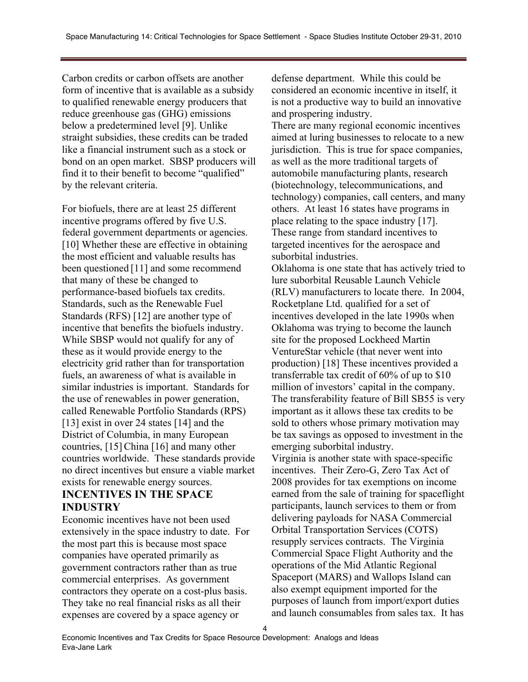Carbon credits or carbon offsets are another form of incentive that is available as a subsidy to qualified renewable energy producers that reduce greenhouse gas (GHG) emissions below a predetermined level [9]. Unlike straight subsidies, these credits can be traded like a financial instrument such as a stock or bond on an open market. SBSP producers will find it to their benefit to become "qualified" by the relevant criteria.

For biofuels, there are at least 25 different incentive programs offered by five U.S. federal government departments or agencies. [10] Whether these are effective in obtaining the most efficient and valuable results has been questioned [11] and some recommend that many of these be changed to performance-based biofuels tax credits. Standards, such as the Renewable Fuel Standards (RFS) [12] are another type of incentive that benefits the biofuels industry. While SBSP would not qualify for any of these as it would provide energy to the electricity grid rather than for transportation fuels, an awareness of what is available in similar industries is important. Standards for the use of renewables in power generation, called Renewable Portfolio Standards (RPS) [13] exist in over 24 states [14] and the District of Columbia, in many European countries, [15] China [16] and many other countries worldwide. These standards provide no direct incentives but ensure a viable market exists for renewable energy sources.

# **INCENTIVES IN THE SPACE INDUSTRY**

Economic incentives have not been used extensively in the space industry to date. For the most part this is because most space companies have operated primarily as government contractors rather than as true commercial enterprises. As government contractors they operate on a cost-plus basis. They take no real financial risks as all their expenses are covered by a space agency or

defense department. While this could be considered an economic incentive in itself, it is not a productive way to build an innovative and prospering industry.

There are many regional economic incentives aimed at luring businesses to relocate to a new jurisdiction. This is true for space companies, as well as the more traditional targets of automobile manufacturing plants, research (biotechnology, telecommunications, and technology) companies, call centers, and many others. At least 16 states have programs in place relating to the space industry [17]. These range from standard incentives to targeted incentives for the aerospace and suborbital industries.

Oklahoma is one state that has actively tried to lure suborbital Reusable Launch Vehicle (RLV) manufacturers to locate there. In 2004, Rocketplane Ltd. qualified for a set of incentives developed in the late 1990s when Oklahoma was trying to become the launch site for the proposed Lockheed Martin VentureStar vehicle (that never went into production) [18] These incentives provided a transferrable tax credit of 60% of up to \$10 million of investors' capital in the company. The transferability feature of Bill SB55 is very important as it allows these tax credits to be sold to others whose primary motivation may be tax savings as opposed to investment in the emerging suborbital industry. Virginia is another state with space-specific incentives. Their Zero-G, Zero Tax Act of 2008 provides for tax exemptions on income earned from the sale of training for spaceflight participants, launch services to them or from delivering payloads for NASA Commercial Orbital Transportation Services (COTS) resupply services contracts. The Virginia Commercial Space Flight Authority and the operations of the Mid Atlantic Regional Spaceport (MARS) and Wallops Island can also exempt equipment imported for the purposes of launch from import/export duties and launch consumables from sales tax. It has

4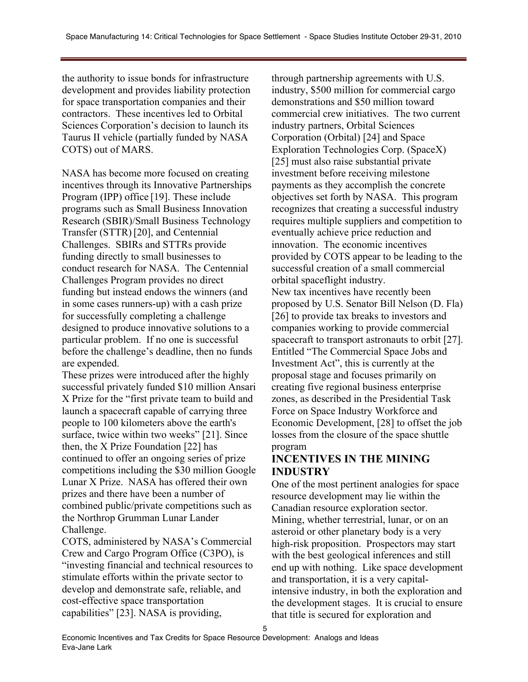the authority to issue bonds for infrastructure development and provides liability protection for space transportation companies and their contractors. These incentives led to Orbital Sciences Corporation's decision to launch its Taurus II vehicle (partially funded by NASA COTS) out of MARS.

NASA has become more focused on creating incentives through its Innovative Partnerships Program (IPP) office [19]. These include programs such as Small Business Innovation Research (SBIR)/Small Business Technology Transfer (STTR) [20], and Centennial Challenges. SBIRs and STTRs provide funding directly to small businesses to conduct research for NASA. The Centennial Challenges Program provides no direct funding but instead endows the winners (and in some cases runners-up) with a cash prize for successfully completing a challenge designed to produce innovative solutions to a particular problem. If no one is successful before the challenge's deadline, then no funds are expended.

These prizes were introduced after the highly successful privately funded \$10 million Ansari X Prize for the "first private team to build and launch a spacecraft capable of carrying three people to 100 kilometers above the earth's surface, twice within two weeks" [21]. Since then, the X Prize Foundation [22] has continued to offer an ongoing series of prize competitions including the \$30 million Google Lunar X Prize. NASA has offered their own prizes and there have been a number of combined public/private competitions such as the Northrop Grumman Lunar Lander Challenge.

COTS, administered by NASA's Commercial Crew and Cargo Program Office (C3PO), is "investing financial and technical resources to stimulate efforts within the private sector to develop and demonstrate safe, reliable, and cost-effective space transportation capabilities" [23]. NASA is providing,

through partnership agreements with U.S. industry, \$500 million for commercial cargo demonstrations and \$50 million toward commercial crew initiatives. The two current industry partners, Orbital Sciences Corporation (Orbital) [24] and Space Exploration Technologies Corp. (SpaceX) [25] must also raise substantial private investment before receiving milestone payments as they accomplish the concrete objectives set forth by NASA. This program recognizes that creating a successful industry requires multiple suppliers and competition to eventually achieve price reduction and innovation. The economic incentives provided by COTS appear to be leading to the successful creation of a small commercial orbital spaceflight industry. New tax incentives have recently been proposed by U.S. Senator Bill Nelson (D. Fla) [26] to provide tax breaks to investors and companies working to provide commercial spacecraft to transport astronauts to orbit [27]. Entitled "The Commercial Space Jobs and Investment Act", this is currently at the proposal stage and focuses primarily on creating five regional business enterprise zones, as described in the Presidential Task Force on Space Industry Workforce and Economic Development, [28] to offset the job losses from the closure of the space shuttle program

## **INCENTIVES IN THE MINING INDUSTRY**

One of the most pertinent analogies for space resource development may lie within the Canadian resource exploration sector. Mining, whether terrestrial, lunar, or on an asteroid or other planetary body is a very high-risk proposition. Prospectors may start with the best geological inferences and still end up with nothing. Like space development and transportation, it is a very capitalintensive industry, in both the exploration and the development stages. It is crucial to ensure that title is secured for exploration and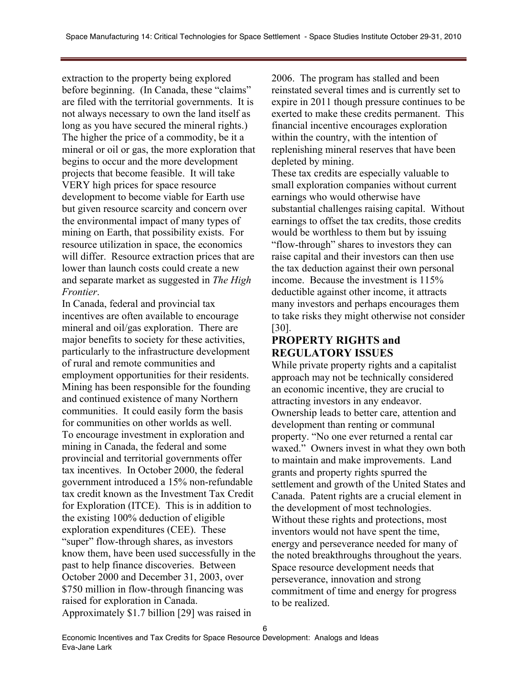extraction to the property being explored before beginning. (In Canada, these "claims" are filed with the territorial governments. It is not always necessary to own the land itself as long as you have secured the mineral rights.) The higher the price of a commodity, be it a mineral or oil or gas, the more exploration that begins to occur and the more development projects that become feasible. It will take VERY high prices for space resource development to become viable for Earth use but given resource scarcity and concern over the environmental impact of many types of mining on Earth, that possibility exists. For resource utilization in space, the economics will differ. Resource extraction prices that are lower than launch costs could create a new and separate market as suggested in *The High Frontier*.

In Canada, federal and provincial tax incentives are often available to encourage mineral and oil/gas exploration. There are major benefits to society for these activities, particularly to the infrastructure development of rural and remote communities and employment opportunities for their residents. Mining has been responsible for the founding and continued existence of many Northern communities. It could easily form the basis for communities on other worlds as well. To encourage investment in exploration and mining in Canada, the federal and some provincial and territorial governments offer tax incentives. In October 2000, the federal government introduced a 15% non-refundable tax credit known as the Investment Tax Credit for Exploration (ITCE). This is in addition to the existing 100% deduction of eligible exploration expenditures (CEE). These "super" flow-through shares, as investors know them, have been used successfully in the past to help finance discoveries. Between October 2000 and December 31, 2003, over \$750 million in flow-through financing was raised for exploration in Canada. Approximately \$1.7 billion [29] was raised in

2006. The program has stalled and been reinstated several times and is currently set to expire in 2011 though pressure continues to be exerted to make these credits permanent. This financial incentive encourages exploration within the country, with the intention of replenishing mineral reserves that have been depleted by mining.

These tax credits are especially valuable to small exploration companies without current earnings who would otherwise have substantial challenges raising capital. Without earnings to offset the tax credits, those credits would be worthless to them but by issuing "flow-through" shares to investors they can raise capital and their investors can then use the tax deduction against their own personal income. Because the investment is 115% deductible against other income, it attracts many investors and perhaps encourages them to take risks they might otherwise not consider [30].

## **PROPERTY RIGHTS and REGULATORY ISSUES**

While private property rights and a capitalist approach may not be technically considered an economic incentive, they are crucial to attracting investors in any endeavor. Ownership leads to better care, attention and development than renting or communal property. "No one ever returned a rental car waxed." Owners invest in what they own both to maintain and make improvements. Land grants and property rights spurred the settlement and growth of the United States and Canada. Patent rights are a crucial element in the development of most technologies. Without these rights and protections, most inventors would not have spent the time, energy and perseverance needed for many of the noted breakthroughs throughout the years. Space resource development needs that perseverance, innovation and strong commitment of time and energy for progress to be realized.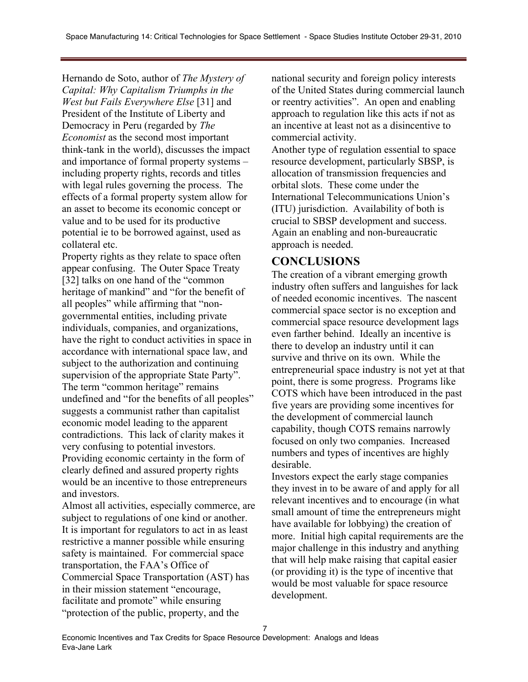Hernando de Soto, author of *The Mystery of Capital: Why Capitalism Triumphs in the West but Fails Everywhere Else* [31] and President of the Institute of Liberty and Democracy in Peru (regarded by *The Economist* as the second most important think-tank in the world), discusses the impact and importance of formal property systems – including property rights, records and titles with legal rules governing the process. The effects of a formal property system allow for an asset to become its economic concept or value and to be used for its productive potential ie to be borrowed against, used as collateral etc.

Property rights as they relate to space often appear confusing. The Outer Space Treaty [32] talks on one hand of the "common" heritage of mankind" and "for the benefit of all peoples" while affirming that "nongovernmental entities, including private individuals, companies, and organizations, have the right to conduct activities in space in accordance with international space law, and subject to the authorization and continuing supervision of the appropriate State Party". The term "common heritage" remains undefined and "for the benefits of all peoples" suggests a communist rather than capitalist economic model leading to the apparent contradictions. This lack of clarity makes it very confusing to potential investors. Providing economic certainty in the form of clearly defined and assured property rights would be an incentive to those entrepreneurs and investors.

Almost all activities, especially commerce, are subject to regulations of one kind or another. It is important for regulators to act in as least restrictive a manner possible while ensuring safety is maintained. For commercial space transportation, the FAA's Office of Commercial Space Transportation (AST) has in their mission statement "encourage, facilitate and promote" while ensuring "protection of the public, property, and the

national security and foreign policy interests of the United States during commercial launch or reentry activities". An open and enabling approach to regulation like this acts if not as an incentive at least not as a disincentive to commercial activity.

Another type of regulation essential to space resource development, particularly SBSP, is allocation of transmission frequencies and orbital slots. These come under the International Telecommunications Union's (ITU) jurisdiction. Availability of both is crucial to SBSP development and success. Again an enabling and non-bureaucratic approach is needed.

# **CONCLUSIONS**

The creation of a vibrant emerging growth industry often suffers and languishes for lack of needed economic incentives. The nascent commercial space sector is no exception and commercial space resource development lags even farther behind. Ideally an incentive is there to develop an industry until it can survive and thrive on its own. While the entrepreneurial space industry is not yet at that point, there is some progress. Programs like COTS which have been introduced in the past five years are providing some incentives for the development of commercial launch capability, though COTS remains narrowly focused on only two companies. Increased numbers and types of incentives are highly desirable.

Investors expect the early stage companies they invest in to be aware of and apply for all relevant incentives and to encourage (in what small amount of time the entrepreneurs might have available for lobbying) the creation of more. Initial high capital requirements are the major challenge in this industry and anything that will help make raising that capital easier (or providing it) is the type of incentive that would be most valuable for space resource development.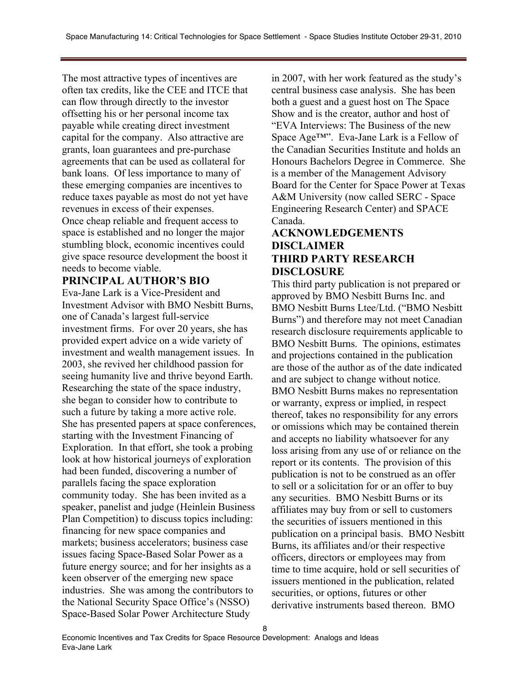The most attractive types of incentives are often tax credits, like the CEE and ITCE that can flow through directly to the investor offsetting his or her personal income tax payable while creating direct investment capital for the company. Also attractive are grants, loan guarantees and pre-purchase agreements that can be used as collateral for bank loans. Of less importance to many of these emerging companies are incentives to reduce taxes payable as most do not yet have revenues in excess of their expenses. Once cheap reliable and frequent access to space is established and no longer the major stumbling block, economic incentives could give space resource development the boost it needs to become viable.

### **PRINCIPAL AUTHOR'S BIO**

Eva-Jane Lark is a Vice-President and Investment Advisor with BMO Nesbitt Burns, one of Canada's largest full-service investment firms. For over 20 years, she has provided expert advice on a wide variety of investment and wealth management issues. In 2003, she revived her childhood passion for seeing humanity live and thrive beyond Earth. Researching the state of the space industry, she began to consider how to contribute to such a future by taking a more active role. She has presented papers at space conferences, starting with the Investment Financing of Exploration. In that effort, she took a probing look at how historical journeys of exploration had been funded, discovering a number of parallels facing the space exploration community today. She has been invited as a speaker, panelist and judge (Heinlein Business Plan Competition) to discuss topics including: financing for new space companies and markets; business accelerators; business case issues facing Space-Based Solar Power as a future energy source; and for her insights as a keen observer of the emerging new space industries. She was among the contributors to the National Security Space Office's (NSSO) Space-Based Solar Power Architecture Study

in 2007, with her work featured as the study's central business case analysis. She has been both a guest and a guest host on The Space Show and is the creator, author and host of "EVA Interviews: The Business of the new Space Age™". Eva-Jane Lark is a Fellow of the Canadian Securities Institute and holds an Honours Bachelors Degree in Commerce. She is a member of the Management Advisory Board for the Center for Space Power at Texas A&M University (now called SERC - Space Engineering Research Center) and SPACE Canada.

#### **ACKNOWLEDGEMENTS DISCLAIMER THIRD PARTY RESEARCH DISCLOSURE**

This third party publication is not prepared or approved by BMO Nesbitt Burns Inc. and BMO Nesbitt Burns Ltee/Ltd. ("BMO Nesbitt Burns") and therefore may not meet Canadian research disclosure requirements applicable to BMO Nesbitt Burns. The opinions, estimates and projections contained in the publication are those of the author as of the date indicated and are subject to change without notice. BMO Nesbitt Burns makes no representation or warranty, express or implied, in respect thereof, takes no responsibility for any errors or omissions which may be contained therein and accepts no liability whatsoever for any loss arising from any use of or reliance on the report or its contents. The provision of this publication is not to be construed as an offer to sell or a solicitation for or an offer to buy any securities. BMO Nesbitt Burns or its affiliates may buy from or sell to customers the securities of issuers mentioned in this publication on a principal basis. BMO Nesbitt Burns, its affiliates and/or their respective officers, directors or employees may from time to time acquire, hold or sell securities of issuers mentioned in the publication, related securities, or options, futures or other derivative instruments based thereon. BMO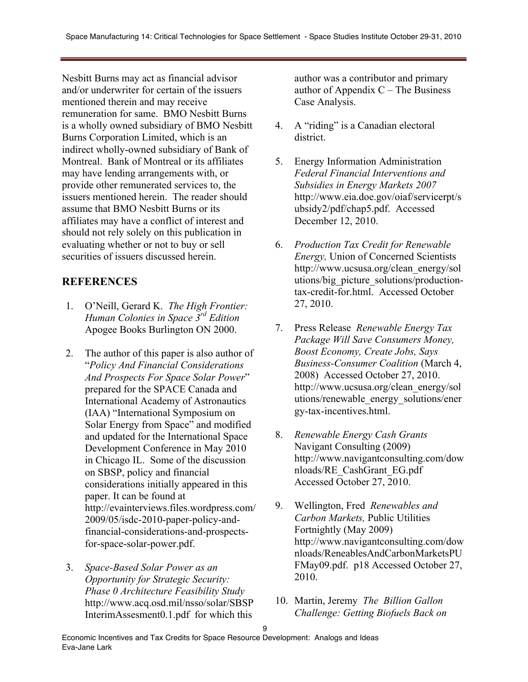Nesbitt Burns may act as financial advisor and/or underwriter for certain of the issuers mentioned therein and may receive remuneration for same. BMO Nesbitt Burns is a wholly owned subsidiary of BMO Nesbitt Burns Corporation Limited, which is an indirect wholly-owned subsidiary of Bank of Montreal. Bank of Montreal or its affiliates may have lending arrangements with, or provide other remunerated services to, the issuers mentioned herein. The reader should assume that BMO Nesbitt Burns or its affiliates may have a conflict of interest and should not rely solely on this publication in evaluating whether or not to buy or sell securities of issuers discussed herein.

## **REFERENCES**

- 1. O'Neill, Gerard K. *The High Frontier: Human Colonies in Space 3rd Edition* Apogee Books Burlington ON 2000.
- 2. The author of this paper is also author of "*Policy And Financial Considerations And Prospects For Space Solar Power*" prepared for the SPACE Canada and International Academy of Astronautics (IAA) "International Symposium on Solar Energy from Space" and modified and updated for the International Space Development Conference in May 2010 in Chicago IL. Some of the discussion on SBSP, policy and financial considerations initially appeared in this paper. It can be found at http://evainterviews.files.wordpress.com/ 2009/05/isdc-2010-paper-policy-andfinancial-considerations-and-prospectsfor-space-solar-power.pdf.
- 3. *Space-Based Solar Power as an Opportunity for Strategic Security: Phase 0 Architecture Feasibility Study*  http://www.acq.osd.mil/nsso/solar/SBSP InterimAssesment0.1.pdf for which this

author was a contributor and primary author of Appendix  $C$  – The Business Case Analysis.

- 4. A "riding" is a Canadian electoral district.
- 5. Energy Information Administration *Federal Financial Interventions and Subsidies in Energy Markets 2007*  http://www.eia.doe.gov/oiaf/servicerpt/s ubsidy2/pdf/chap5.pdf. Accessed December 12, 2010.
- 6. *Production Tax Credit for Renewable Energy,* Union of Concerned Scientists http://www.ucsusa.org/clean\_energy/sol utions/big\_picture\_solutions/productiontax-credit-for.html. Accessed October 27, 2010.
- 7. Press Release *Renewable Energy Tax Package Will Save Consumers Money, Boost Economy, Create Jobs, Says Business-Consumer Coalition* (March 4, 2008) Accessed October 27, 2010. http://www.ucsusa.org/clean\_energy/sol utions/renewable\_energy\_solutions/ener gy-tax-incentives.html.
- 8. *Renewable Energy Cash Grants*  Navigant Consulting (2009) http://www.navigantconsulting.com/dow nloads/RE\_CashGrant\_EG.pdf Accessed October 27, 2010.
- 9. Wellington, Fred *Renewables and Carbon Markets,* Public Utilities Fortnightly (May 2009) http://www.navigantconsulting.com/dow nloads/ReneablesAndCarbonMarketsPU FMay09.pdf. p18 Accessed October 27, 2010.
- 10. Martin, Jeremy *The Billion Gallon Challenge: Getting Biofuels Back on*

9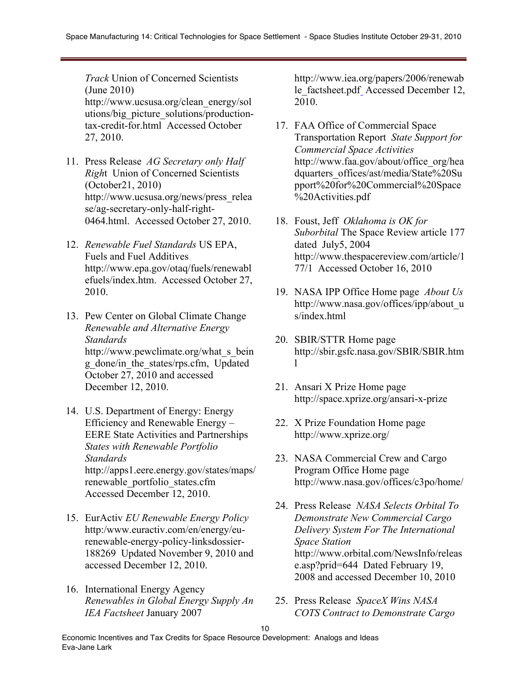*Track* Union of Concerned Scientists (June 2010) http://www.ucsusa.org/clean\_energy/sol utions/big\_picture\_solutions/productiontax-credit-for.html Accessed October 27, 2010.

- 11. Press Release *AG Secretary only Half Righ*t Union of Concerned Scientists (October21, 2010) http://www.ucsusa.org/news/press\_relea se/ag-secretary-only-half-right-0464.html. Accessed October 27, 2010.
- 12. *Renewable Fuel Standards* US EPA, Fuels and Fuel Additives http://www.epa.gov/otaq/fuels/renewabl efuels/index.htm. Accessed October 27, 2010.
- 13. Pew Center on Global Climate Change *Renewable and Alternative Energy Standards* http://www.pewclimate.org/what\_s\_bein g\_done/in\_the\_states/rps.cfm, Updated October 27, 2010 and accessed December 12, 2010.
- 14. U.S. Department of Energy: Energy Efficiency and Renewable Energy – EERE State Activities and Partnerships *States with Renewable Portfolio Standards* http://apps1.eere.energy.gov/states/maps/ renewable\_portfolio\_states.cfm Accessed December 12, 2010.
- 15. EurActiv *EU Renewable Energy Policy*  http:/www.euractiv.com/en/energy/eurenewable-energy-policy-linksdossier-188269 Updated November 9, 2010 and accessed December 12, 2010.
- 16. International Energy Agency *Renewables in Global Energy Supply An IEA Factsheet* January 2007

http://www.iea.org/papers/2006/renewab le factsheet.pdf Accessed December 12, 2010.

- 17. FAA Office of Commercial Space Transportation Report *State Support for Commercial Space Activities* http://www.faa.gov/about/office\_org/hea dquarters\_offices/ast/media/State%20Su pport%20for%20Commercial%20Space %20Activities.pdf
- 18. Foust, Jeff *Oklahoma is OK for Suborbital* The Space Review article 177 dated July5, 2004 http://www.thespacereview.com/article/1 77/1 Accessed October 16, 2010
- 19. NASA IPP Office Home page *About Us*  http://www.nasa.gov/offices/ipp/about\_u s/index.html
- 20. SBIR/STTR Home page http://sbir.gsfc.nasa.gov/SBIR/SBIR.htm l
- 21. Ansari X Prize Home page http://space.xprize.org/ansari-x-prize
- 22. X Prize Foundation Home page http://www.xprize.org/
- 23. NASA Commercial Crew and Cargo Program Office Home page http://www.nasa.gov/offices/c3po/home/
- 24. Press Release *NASA Selects Orbital To Demonstrate New Commercial Cargo Delivery System For The International Space Station* http://www.orbital.com/NewsInfo/releas e.asp?prid=644 Dated February 19, 2008 and accessed December 10, 2010
- 25. Press Release *SpaceX Wins NASA COTS Contract to Demonstrate Cargo*